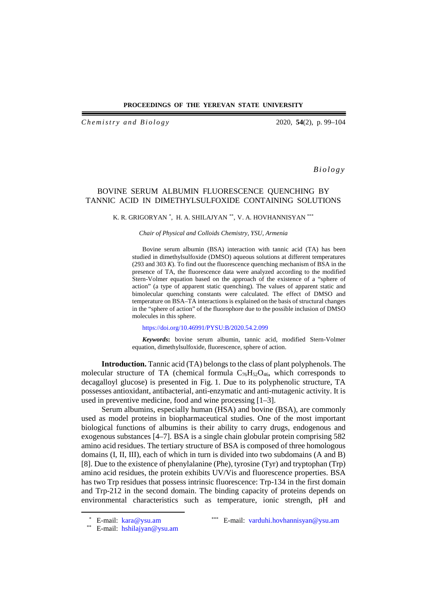## **PROCEEDINGS OF THE YEREVAN STATE UNIVERSITY**

*Ch e m istry and Biology* 2020, **54**(2), p. 99–104

*Biology*

# BOVINE SERUM ALBUMIN FLUORESCENCE QUENCHING BY TANNIC ACID IN DIMETHYLSULFOXIDE CONTAINING SOLUTIONS

# K. R. GRIGORYAN [\\*,](#page-0-0) H. A. SHILAJYAN [\\*\\*,](#page-0-1) V. A. HOVHANNISYAN \*\*\*

### *Chair of Physical and Colloids Chemistry, YSU, Armenia*

Bovine serum albumin (BSA) interaction with tannic acid (TA) has been studied in dimethylsulfoxide (DMSO) aqueous solutions at different temperatures (293 and 303 *K*). To find out the fluorescence quenching mechanism of BSA in the presence of TA, the fluorescence data were analyzed according to the modified Stern-Volmer equation based on the approach of the existence of a "sphere of action" (a type of apparent static quenching). The values of apparent static and bimolecular quenching constants were calculated. The effect of DMSO and temperature on BSA–TA interactions is explained on the basis of structural changes in the "sphere of action" of the fluorophore due to the possible inclusion of DMSO molecules in this sphere.

#### <https://doi.org/10.46991/PYSU:B/2020.54.2.099>

*Keywords***:** bovine serum albumin, tannic acid, modified Stern-Volmer equation, dimethylsulfoxide, fluorescence, sphere of action.

**Introduction.** Tannic acid (TA) belongs to the class of plant polyphenols. The molecular structure of TA (chemical formula  $C_{76}H_{52}O_{46}$ , which corresponds to decagalloyl glucose) is presented in Fig. 1. Due to its polyphenolic structure, TA possesses antioxidant, antibacterial, anti-enzymatic and anti-mutagenic activity. It is used in preventive medicine, food and wine processing [1–3].

Serum albumins, especially human (HSA) and bovine (BSA), are commonly used as model proteins in biopharmaceutical studies. One of the most important biological functions of albumins is their ability to carry drugs, endogenous and exogenous substances [4–7]. BSA is a single chain globular protein comprising 582 amino acid residues. The tertiary structure of BSA is composed of three homologous domains (I, II, III), each of which in turn is divided into two subdomains (A and B) [8]. Due to the existence of phenylalanine (Phe), tyrosine (Tyr) and tryptophan (Trp) amino acid residues, the protein exhibits UV/Vis and fluorescence properties. BSA has two Trp residues that possess intrinsic fluorescence: Trp-134 in the first domain and Trp-212 in the second domain. The binding capacity of proteins depends on environmental characteristics such as temperature, ionic strength, pH and

<span id="page-0-1"></span><span id="page-0-0"></span>

 <sup>\*</sup> E-mail: [kara@ysu.am](mailto:kara@ysu.am) \*\*\* E-mail: [varduhi.hovhannisyan@ysu.am](mailto:varduhi.hovhannisyan@ysu.am)

<sup>\*\*</sup> E-mail: [hshilajyan@ysu.am](mailto:hshilajyan@ysu.am)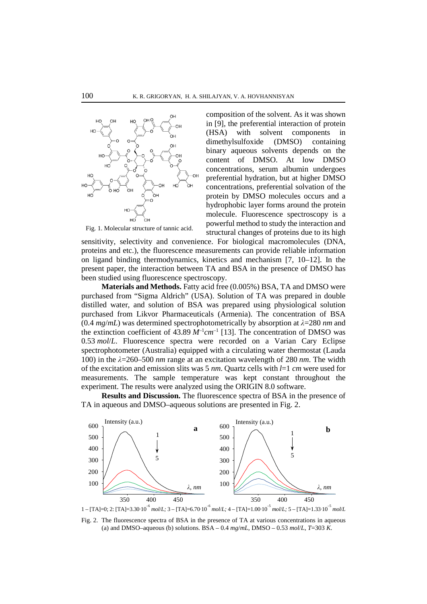

Fig. 1. Molecular structure of tannic acid.

composition of the solvent. As it was shown in [9], the preferential interaction of protein (HSA) with solvent components in dimethylsulfoxide (DMSO) containing binary aqueous solvents depends on the content of DMSO. At low DMSO concentrations, serum albumin undergoes preferential hydration, but at higher DMSO concentrations, preferential solvation of the protein by DMSO molecules occurs and a hydrophobic layer forms around the protein molecule. Fluorescence spectroscopy is a powerful method to study the interaction and structural changes of proteins due to its high

sensitivity, selectivity and convenience. For biological macromolecules (DNA, proteins and etc.), the fluorescence measurements can provide reliable information on ligand binding thermodynamics, kinetics and mechanism [7, 10–12]. In the present paper, the interaction between TA and BSA in the presence of DMSO has been studied using fluorescence spectroscopy.

**Materials and Methods.** Fatty acid free (0.005%) BSA, TA and DMSO were purchased from "Sigma Aldrich" (USA). Solution of TA was prepared in double distilled water, and solution of BSA was prepared using physiological solution purchased from Likvor Pharmaceuticals (Armenia). The concentration of BSA (0.4 *mg*/*mL*) was determined spectrophotometrically by absorption at *λ*=280 *nm* and the extinction coefficient of  $43.89 M^{-1}cm^{-1}$  [13]. The concentration of DMSO was 0.53 *mol*/*L*. Fluorescence spectra were recorded on a Varian Cary Eclipse spectrophotometer (Australia) equipped with a circulating water thermostat (Lauda 100) in the *λ*=260–500 *nm* range at an excitation wavelength of 280 *nm*. The width of the excitation and emission slits was 5 *nm*. Quartz cells with *l*=1 *cm* were used for measurements. The sample temperature was kept constant throughout the experiment. The results were analyzed using the ORIGIN 8.0 software.

**Results and Discussion.** The fluorescence spectra of BSA in the presence of TA in aqueous and DMSO–aqueous solutions are presented in Fig. 2.



Fig. 2. The fluorescence spectra of BSA in the presence of TA at various concentrations in aqueous (a) and DMSO–aqueous (b) solutions. BSA – 0.4 *mg*/*mL*, DMSO – 0.53 *mol*/*L*, *T*=303 *K*.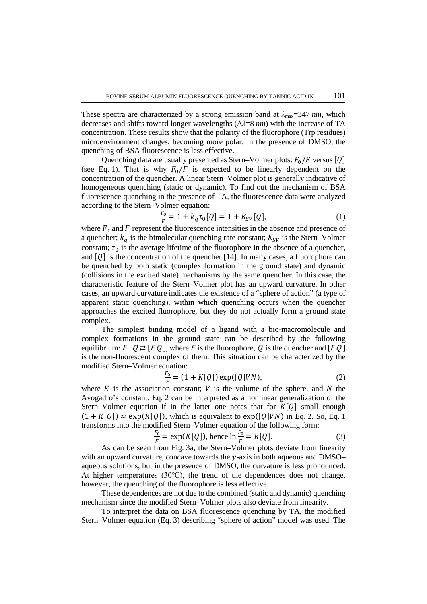These spectra are characterized by a strong emission band at  $\lambda_{\text{max}}=347 \text{ nm}$ , which decreases and shifts toward longer wavelengths (Δ*λ*=8 *nm*) with the increase of TA concentration. These results show that the polarity of the fluorophore (Trp residues) microenvironment changes, becoming more polar. In the presence of DMSO, the quenching of BSA fluorescence is less effective.

Quenching data are usually presented as Stern–Volmer plots:  $F_0/F$  versus [Q] (see Eq. 1). That is why  $F_0/F$  is expected to be linearly dependent on the concentration of the quencher. A linear Stern–Volmer plot is generally indicative of homogeneous quenching (static or dynamic). To find out the mechanism of BSA fluorescence quenching in the presence of TA, the fluorescence data were analyzed according to the Stern–Volmer equation:

$$
\frac{F_0}{F} = 1 + k_q \tau_0 [Q] = 1 + K_{SV} [Q], \tag{1}
$$

where  $F_0$  and  $F$  represent the fluorescence intensities in the absence and presence of a quencher;  $k_q$  is the bimolecular quenching rate constant;  $K_{SV}$  is the Stern–Volmer constant;  $\tau_0$  is the average lifetime of the fluorophore in the absence of a quencher, and  $[Q]$  is the concentration of the quencher [14]. In many cases, a fluorophore can be quenched by both static (complex formation in the ground state) and dynamic (collisions in the excited state) mechanisms by the same quencher. In this case, the characteristic feature of the Stern–Volmer plot has an upward curvature. In other cases, an upward curvature indicates the existence of a "sphere of action" (a type of apparent static quenching), within which quenching occurs when the quencher approaches the excited fluorophore, but they do not actually form a ground state complex.

The simplest binding model of a ligand with a bio-macromolecule and complex formations in the ground state can be described by the following equilibrium:  $F + Q \rightleftarrows [FQ]$ , where F is the fluorophore, Q is the quencher and  $[FQ]$ is the non-fluorescent complex of them. This situation can be characterized by the modified Stern–Volmer equation:

$$
\frac{F_0}{F} = (1 + K[Q]) \exp([Q]VN),\tag{2}
$$

where  $K$  is the association constant;  $V$  is the volume of the sphere, and  $N$  the Avogadro's constant. Eq. 2 can be interpreted as a nonlinear generalization of the Stern–Volmer equation if in the latter one notes that for  $K[Q]$  small enough  $(1 + K[Q]) \approx \exp(K[Q])$ , which is equivalent to  $\exp([Q]VN)$  in Eq. 2. So, Eq. 1 transforms into the modified Stern–Volmer equation of the following form:

$$
\frac{F_0}{F} = \exp(K[Q]), \text{ hence } \ln \frac{F_0}{F} = K[Q]. \tag{3}
$$

As can be seen from Fig. 3a, the Stern–Volmer plots deviate from linearity with an upward curvature, concave towards the  $y$ -axis in both aqueous and DMSO– aqueous solutions, but in the presence of DMSO, the curvature is less pronounced. At higher temperatures (30℃), the trend of the dependences does not change, however, the quenching of the fluorophore is less effective.

These dependences are not due to the combined (static and dynamic) quenching mechanism since the modified Stern–Volmer plots also deviate from linearity.

To interpret the data on BSA fluorescence quenching by TA, the modified Stern–Volmer equation (Eq. 3) describing "sphere of action" model was used. The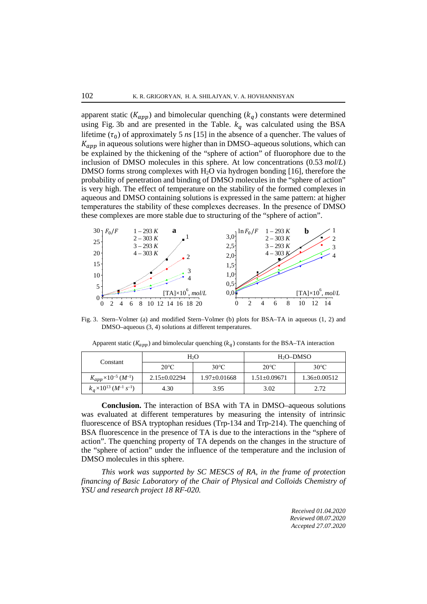apparent static ( $K_{app}$ ) and bimolecular quenching ( $k_q$ ) constants were determined using Fig. 3b and are presented in the Table.  $k_q$  was calculated using the BSA lifetime  $(\tau_0)$  of approximately 5 *ns* [15] in the absence of a quencher. The values of  $K_{app}$  in aqueous solutions were higher than in DMSO–aqueous solutions, which can be explained by the thickening of the "sphere of action" of fluorophore due to the inclusion of DMSO molecules in this sphere. At low concentrations (0.53 *mol*/*L*) DMSO forms strong complexes with H<sub>2</sub>O via hydrogen bonding [16], therefore the probability of penetration and binding of DMSO molecules in the "sphere of action" is very high. The effect of temperature on the stability of the formed complexes in aqueous and DMSO containing solutions is expressed in the same pattern: at higher temperatures the stability of these complexes decreases․ In the presence of DMSO these complexes are more stable due to structuring of the "sphere of action".



Fig. 3. Stern–Volmer (a) and modified Stern–Volmer (b) plots for BSA–TA in aqueous (1, 2) and DMSO–aqueous (3, 4) solutions at different temperatures.

|  | Constant                                                          | H <sub>2</sub> O   |                  | $H_2O-DMSO$      |                  |
|--|-------------------------------------------------------------------|--------------------|------------------|------------------|------------------|
|  |                                                                   | $20^{\circ}$ C     | $30^{\circ}$ C   | $20^{\circ}$ C   | $30^{\circ}$ C   |
|  | $K_{app} \times 10^{-5} (M^{-1})$                                 | $2.15 \pm 0.02294$ | $1.97 + 0.01668$ | $1.51 + 0.09671$ | $1.36 + 0.00512$ |
|  | $k_{\alpha}$ ×10 <sup>13</sup> (M <sup>-1</sup> s <sup>-1</sup> ) | 4.30               | 3.95             | 3.02             | 2.72             |

Apparent static ( $K_{app}$ ) and bimolecular quenching ( $k_q$ ) constants for the BSA–TA interaction

**Conclusion.** The interaction of BSA with TA in DMSO–aqueous solutions was evaluated at different temperatures by measuring the intensity of intrinsic fluorescence of BSA tryptophan residues (Trp-134 and Trp-214). The quenching of BSA fluorescence in the presence of TA is due to the interactions in the "sphere of action". The quenching property of TA depends on the changes in the structure of the "sphere of action" under the influence of the temperature and the inclusion of DMSO molecules in this sphere.

*This work was supported by SC MESCS of RA, in the frame of protection financing of Basic Laboratory of the Chair of Physical and Colloids Chemistry of YSU and research project 18 RF-020.*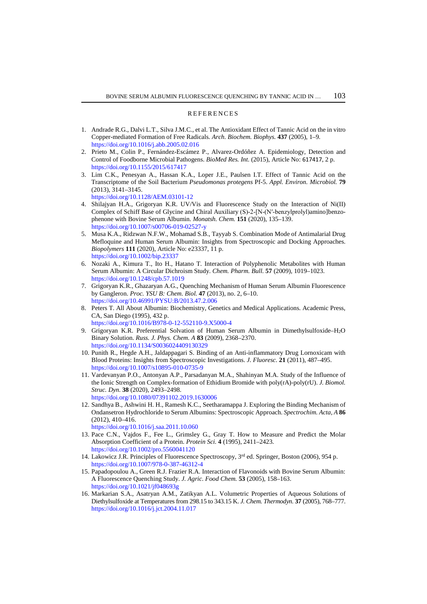#### REFERENCES

- 1. Andrade R.G., Dalvi L.T., Silva J.M.C., et al. The Antioxidant Effect of Tannic Acid on the in vitro Copper-mediated Formation of Free Radicals. *Arch. Biochem. Biophys.* **437** (2005), 1–9. <https://doi.org/10.1016/j.abb.2005.02.016>
- 2. Prieto M., Colin P., Fernández-Escámez P., Alvarez-Ordóñez A. Epidemiology, Detection and Control of Foodborne Microbial Pathogens. *BioMed Res. Int.* (2015), Article No: 617417, 2 p. <https://doi.org/10.1155/2015/617417>
- 3. Lim C.K., Penesyan A., Hassan K.A., Loper J.E., Paulsen I.T. Effect of Tannic Acid on the Transcriptome of the Soil Bacterium *Pseudomonas protegens* Pf-5. *Appl. Environ. Microbiol.* **79** (2013), 3141–3145. <https://doi.org/10.1128/AEM.03101-12>
- 4. Shilajyan H.A., Grigoryan K.R. UV/Vis and Fluorescence Study on the Interaction of Ni(II) Complex of Schiff Base of Glycine and Chiral Auxiliary (S)-2-[N-(N'-benzylprolyl)amino]benzophenone with Bovine Serum Albumin. *Monatsh. Chem.* **151** (2020), 135–139. <https://doi.org/10.1007/s00706-019-02527-y>
- 5. Musa K.A., Ridzwan N.F.W., Mohamad S.B., Tayyab S. Combination Mode of Antimalarial Drug Mefloquine and Human Serum Albumin: Insights from Spectroscopic and Docking Approaches. *Biopolymers* **111** (2020), Article No: e23337, 11 p. <https://doi.org/10.1002/bip.23337>
- 6. Nozaki A., Kimura T., Ito H., Hatano T. Interaction of Polyphenolic Metabolites with Human Serum Albumin: A Circular Dichroism Study. *Chem. Pharm. Bull.* **57** (2009), 1019–1023. <https://doi.org/10.1248/cpb.57.1019>
- 7. Grigoryan K.R., Ghazaryan A.G., Quenching Mechanism of Human Serum Albumin Fluorescence by Gangleron. *Proc. YSU B: Chem. Biol.* **47** (2013), no. 2, 6–10. <https://doi.org/10.46991/PYSU:B/2013.47.2.006>
- 8. Peters T. All About Albumin: Biochemistry, Genetics and Medical Applications. Academic Press, CA, San Diego (1995), 432 p.

<https://doi.org/10.1016/B978-0-12-552110-9.X5000-4>

- 9. Grigoryan K.R. Preferential Solvation of Human Serum Albumin in Dimethylsulfoxide–H2O Binary Solution. *Russ. J. Phys. Chem. A* **83** (2009), 2368–2370. <https://doi.org/10.1134/S0036024409130329>
- 10. Punith R., Hegde A.H., Jaldappagari S. Binding of an Anti-inflammatory Drug Lornoxicam with Blood Proteins: Insights from Spectroscopic Investigations. *J. Fluoresc.* **21** (2011), 487–495. <https://doi.org/10.1007/s10895-010-0735-9>
- 11. Vardevanyan P.O., Antonyan A.P., Parsadanyan M.A., Shahinyan M.A. Study of the Influence of the Ionic Strength on Complex-formation of Ethidium Bromide with poly(rA)-poly(rU). *J. Biomol. Struc. Dyn.* **38** (2020), 2493–2498. <https://doi.org/10.1080/07391102.2019.1630006>
- 12. Sandhya B., Ashwini H. H., Ramesh K.C., Seetharamappa J. Exploring the Binding Mechanism of Ondansetron Hydrochloride to Serum Albumins: Spectroscopic Approach. *Spectrochim. Acta, A* **86** (2012), 410–416. <https://doi.org/10.1016/j.saa.2011.10.060>
- 13. Pace C.N., Vajdos F., Fee L., Grimsley G., Gray T. How to Measure and Predict the Molar Absorption Coefficient of a Protein. *Protein Sci.* **4** (1995), 2411–2423. <https://doi.org/10.1002/pro.5560041120>
- 14. Lakowicz J.R. Principles of Fluorescence Spectroscopy, 3rd ed. Springer, Boston (2006), 954 p. <https://doi.org/10.1007/978-0-387-46312-4>
- 15. Papadopoulou A., Green R.J. Frazier R.A. Interaction of Flavonoids with Bovine Serum Albumin: A Fluorescence Quenching Study. *J. Agric. Food Chem.* **53** (2005), 158–163. <https://doi.org/10.1021/jf048693g>
- 16. Markarian S.A., Asatryan A.M., Zatikyan A.L. Volumetric Properties of Aqueous Solutions of Diethylsulfoxide at Temperatures from 298.15 to 343.15 K. *J. Chem. Thermodyn.* **37** (2005), 768–777. <https://doi.org/10.1016/j.jct.2004.11.017>